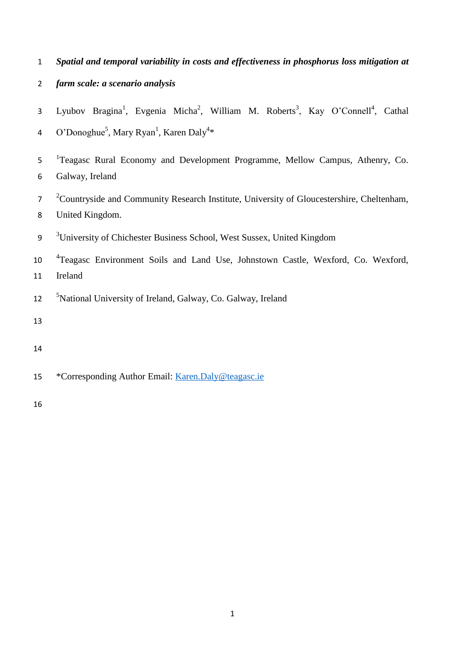- 1 *Spatial and temporal variability in costs and effectiveness in phosphorus loss mitigation at*
- 2 *farm scale: a scenario analysis*
- 3 Lyubov Bragina<sup>1</sup>, Evgenia Micha<sup>2</sup>, William M. Roberts<sup>3</sup>, Kay O'Connell<sup>4</sup>, Cathal 4 O'Donoghue<sup>5</sup>, Mary Ryan<sup>1</sup>, Karen Daly<sup>4</sup>\*
- <sup>1</sup> Teagasc Rural Economy and Development Programme, Mellow Campus, Athenry, Co. 6 Galway, Ireland
- <sup>2</sup> Countryside and Community Research Institute, University of Gloucestershire, Cheltenham, 8 United Kingdom.
- <sup>3</sup> University of Chichester Business School, West Sussex, United Kingdom
- 10 <sup>4</sup>Teagasc Environment Soils and Land Use, Johnstown Castle, Wexford, Co. Wexford, 11 Ireland
- <sup>5</sup>National University of Ireland, Galway, Co. Galway, Ireland
- 13
- 14
- 15 \*Corresponding Author Email: [Karen.Daly@teagasc.ie](mailto:Karen.Daly@teagasc.ie)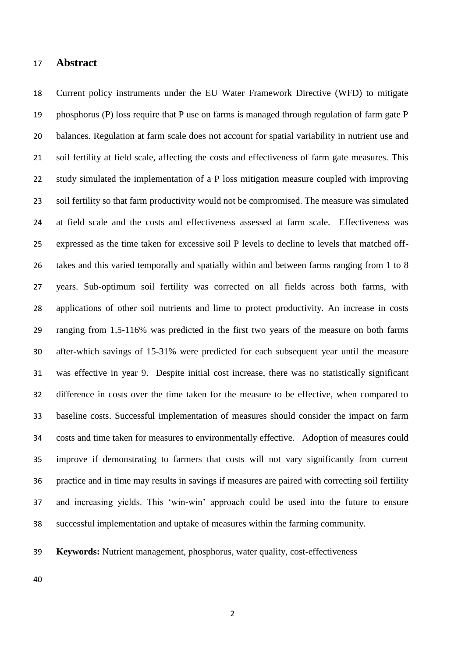#### **Abstract**

 Current policy instruments under the EU Water Framework Directive (WFD) to mitigate phosphorus (P) loss require that P use on farms is managed through regulation of farm gate P balances. Regulation at farm scale does not account for spatial variability in nutrient use and soil fertility at field scale, affecting the costs and effectiveness of farm gate measures. This study simulated the implementation of a P loss mitigation measure coupled with improving soil fertility so that farm productivity would not be compromised. The measure was simulated at field scale and the costs and effectiveness assessed at farm scale. Effectiveness was expressed as the time taken for excessive soil P levels to decline to levels that matched off- takes and this varied temporally and spatially within and between farms ranging from 1 to 8 years. Sub-optimum soil fertility was corrected on all fields across both farms, with applications of other soil nutrients and lime to protect productivity. An increase in costs ranging from 1.5-116% was predicted in the first two years of the measure on both farms after-which savings of 15-31% were predicted for each subsequent year until the measure was effective in year 9. Despite initial cost increase, there was no statistically significant difference in costs over the time taken for the measure to be effective, when compared to baseline costs. Successful implementation of measures should consider the impact on farm costs and time taken for measures to environmentally effective. Adoption of measures could improve if demonstrating to farmers that costs will not vary significantly from current practice and in time may results in savings if measures are paired with correcting soil fertility and increasing yields. This 'win-win' approach could be used into the future to ensure successful implementation and uptake of measures within the farming community.

**Keywords:** Nutrient management, phosphorus, water quality, cost-effectiveness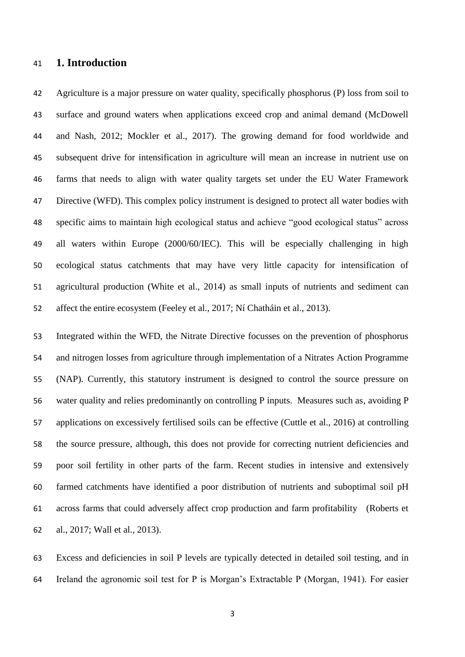## **1. Introduction**

 Agriculture is a major pressure on water quality, specifically phosphorus (P) loss from soil to surface and ground waters when applications exceed crop and animal demand (McDowell and Nash, 2012; Mockler et al., 2017). The growing demand for food worldwide and subsequent drive for intensification in agriculture will mean an increase in nutrient use on farms that needs to align with water quality targets set under the EU Water Framework Directive (WFD). This complex policy instrument is designed to protect all water bodies with specific aims to maintain high ecological status and achieve "good ecological status" across all waters within Europe (2000/60/IEC). This will be especially challenging in high ecological status catchments that may have very little capacity for intensification of agricultural production (White et al., 2014) as small inputs of nutrients and sediment can affect the entire ecosystem (Feeley et al., 2017; Ní Chatháin et al., 2013).

 Integrated within the WFD, the Nitrate Directive focusses on the prevention of phosphorus and nitrogen losses from agriculture through implementation of a Nitrates Action Programme (NAP). Currently, this statutory instrument is designed to control the source pressure on water quality and relies predominantly on controlling P inputs. Measures such as, avoiding P applications on excessively fertilised soils can be effective (Cuttle et al., 2016) at controlling the source pressure, although, this does not provide for correcting nutrient deficiencies and poor soil fertility in other parts of the farm. Recent studies in intensive and extensively farmed catchments have identified a poor distribution of nutrients and suboptimal soil pH across farms that could adversely affect crop production and farm profitability (Roberts et al., 2017; Wall et al., 2013).

 Excess and deficiencies in soil P levels are typically detected in detailed soil testing, and in Ireland the agronomic soil test for P is Morgan's Extractable P (Morgan, 1941). For easier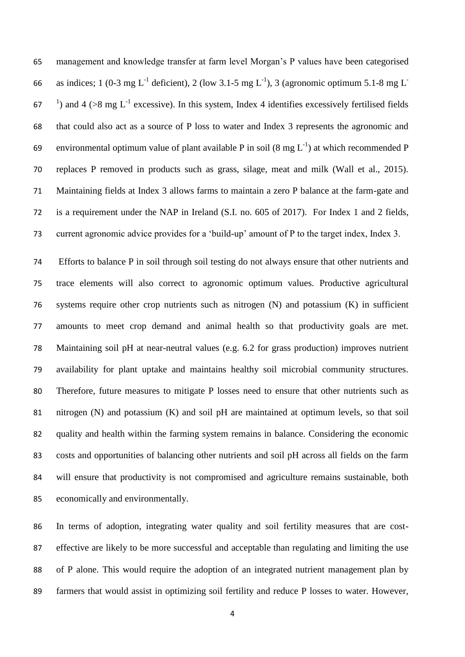management and knowledge transfer at farm level Morgan's P values have been categorised as indices; 1 (0-3 mg L<sup>-1</sup> deficient), 2 (low 3.1-5 mg L<sup>-1</sup>), 3 (agronomic optimum 5.1-8 mg L<sup>-1</sup> ) and  $4$  (>8 mg L<sup>-1</sup> excessive). In this system, Index 4 identifies excessively fertilised fields that could also act as a source of P loss to water and Index 3 represents the agronomic and 69 environmental optimum value of plant available P in soil  $(8 \text{ mg } L^{-1})$  at which recommended P replaces P removed in products such as grass, silage, meat and milk (Wall et al., 2015). Maintaining fields at Index 3 allows farms to maintain a zero P balance at the farm-gate and is a requirement under the NAP in Ireland (S.I. no. 605 of 2017). For Index 1 and 2 fields, current agronomic advice provides for a 'build-up' amount of P to the target index, Index 3.

 Efforts to balance P in soil through soil testing do not always ensure that other nutrients and trace elements will also correct to agronomic optimum values. Productive agricultural systems require other crop nutrients such as nitrogen (N) and potassium (K) in sufficient amounts to meet crop demand and animal health so that productivity goals are met. Maintaining soil pH at near-neutral values (e.g. 6.2 for grass production) improves nutrient availability for plant uptake and maintains healthy soil microbial community structures. Therefore, future measures to mitigate P losses need to ensure that other nutrients such as nitrogen (N) and potassium (K) and soil pH are maintained at optimum levels, so that soil quality and health within the farming system remains in balance. Considering the economic costs and opportunities of balancing other nutrients and soil pH across all fields on the farm will ensure that productivity is not compromised and agriculture remains sustainable, both economically and environmentally.

 In terms of adoption, integrating water quality and soil fertility measures that are cost- effective are likely to be more successful and acceptable than regulating and limiting the use of P alone. This would require the adoption of an integrated nutrient management plan by farmers that would assist in optimizing soil fertility and reduce P losses to water. However,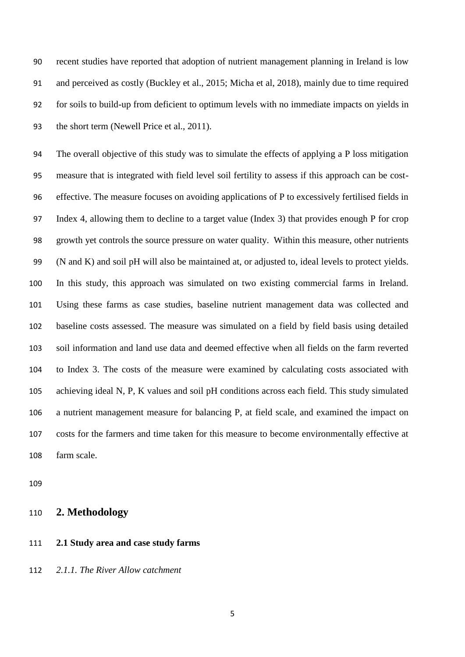recent studies have reported that adoption of nutrient management planning in Ireland is low and perceived as costly (Buckley et al., 2015; Micha et al, 2018), mainly due to time required for soils to build-up from deficient to optimum levels with no immediate impacts on yields in the short term (Newell Price et al., 2011).

 The overall objective of this study was to simulate the effects of applying a P loss mitigation measure that is integrated with field level soil fertility to assess if this approach can be cost- effective. The measure focuses on avoiding applications of P to excessively fertilised fields in Index 4, allowing them to decline to a target value (Index 3) that provides enough P for crop growth yet controls the source pressure on water quality. Within this measure, other nutrients (N and K) and soil pH will also be maintained at, or adjusted to, ideal levels to protect yields. In this study, this approach was simulated on two existing commercial farms in Ireland. Using these farms as case studies, baseline nutrient management data was collected and baseline costs assessed. The measure was simulated on a field by field basis using detailed soil information and land use data and deemed effective when all fields on the farm reverted to Index 3. The costs of the measure were examined by calculating costs associated with achieving ideal N, P, K values and soil pH conditions across each field. This study simulated a nutrient management measure for balancing P, at field scale, and examined the impact on costs for the farmers and time taken for this measure to become environmentally effective at farm scale.

- **2. Methodology**
- **2.1 Study area and case study farms**

*2.1.1. The River Allow catchment*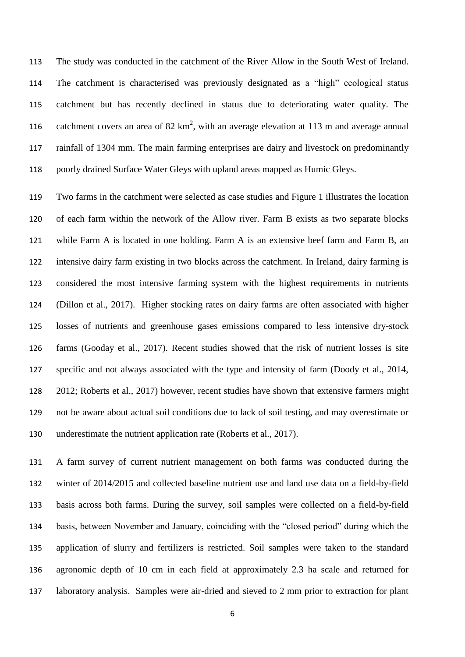The study was conducted in the catchment of the River Allow in the South West of Ireland. The catchment is characterised was previously designated as a "high" ecological status catchment but has recently declined in status due to deteriorating water quality. The 116 catchment covers an area of 82  $\text{km}^2$ , with an average elevation at 113 m and average annual rainfall of 1304 mm. The main farming enterprises are dairy and livestock on predominantly poorly drained Surface Water Gleys with upland areas mapped as Humic Gleys.

 Two farms in the catchment were selected as case studies and Figure 1 illustrates the location of each farm within the network of the Allow river. Farm B exists as two separate blocks while Farm A is located in one holding. Farm A is an extensive beef farm and Farm B, an intensive dairy farm existing in two blocks across the catchment. In Ireland, dairy farming is considered the most intensive farming system with the highest requirements in nutrients (Dillon et al., 2017). Higher stocking rates on dairy farms are often associated with higher losses of nutrients and greenhouse gases emissions compared to less intensive dry-stock farms (Gooday et al., 2017). Recent studies showed that the risk of nutrient losses is site specific and not always associated with the type and intensity of farm (Doody et al., 2014, 2012; Roberts et al., 2017) however, recent studies have shown that extensive farmers might not be aware about actual soil conditions due to lack of soil testing, and may overestimate or underestimate the nutrient application rate (Roberts et al., 2017).

 A farm survey of current nutrient management on both farms was conducted during the winter of 2014/2015 and collected baseline nutrient use and land use data on a field-by-field basis across both farms. During the survey, soil samples were collected on a field-by-field basis, between November and January, coinciding with the "closed period" during which the application of slurry and fertilizers is restricted. Soil samples were taken to the standard agronomic depth of 10 cm in each field at approximately 2.3 ha scale and returned for laboratory analysis. Samples were air-dried and sieved to 2 mm prior to extraction for plant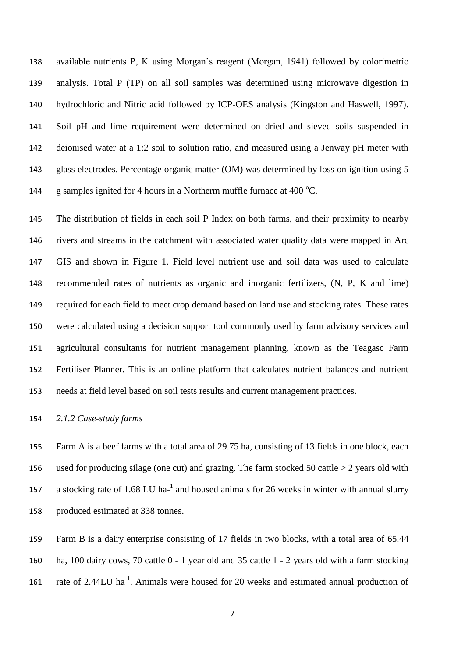available nutrients P, K using Morgan's reagent (Morgan, 1941) followed by colorimetric analysis. Total P (TP) on all soil samples was determined using microwave digestion in hydrochloric and Nitric acid followed by ICP-OES analysis (Kingston and Haswell, 1997). Soil pH and lime requirement were determined on dried and sieved soils suspended in deionised water at a 1:2 soil to solution ratio, and measured using a Jenway pH meter with glass electrodes. Percentage organic matter (OM) was determined by loss on ignition using 5 144 g samples ignited for 4 hours in a Northerm muffle furnace at 400  $^{\circ}$ C.

 The distribution of fields in each soil P Index on both farms, and their proximity to nearby rivers and streams in the catchment with associated water quality data were mapped in Arc GIS and shown in Figure 1. Field level nutrient use and soil data was used to calculate recommended rates of nutrients as organic and inorganic fertilizers, (N, P, K and lime) required for each field to meet crop demand based on land use and stocking rates. These rates were calculated using a decision support tool commonly used by farm advisory services and agricultural consultants for nutrient management planning, known as the Teagasc Farm Fertiliser Planner. This is an online platform that calculates nutrient balances and nutrient needs at field level based on soil tests results and current management practices.

#### *2.1.2 Case-study farms*

 Farm A is a beef farms with a total area of 29.75 ha, consisting of 13 fields in one block, each used for producing silage (one cut) and grazing. The farm stocked 50 cattle > 2 years old with 157 a stocking rate of 1.68 LU ha- $^1$  and housed animals for 26 weeks in winter with annual slurry produced estimated at 338 tonnes.

 Farm B is a dairy enterprise consisting of 17 fields in two blocks, with a total area of 65.44 ha, 100 dairy cows, 70 cattle 0 - 1 year old and 35 cattle 1 - 2 years old with a farm stocking 161 rate of 2.44LU ha<sup>-1</sup>. Animals were housed for 20 weeks and estimated annual production of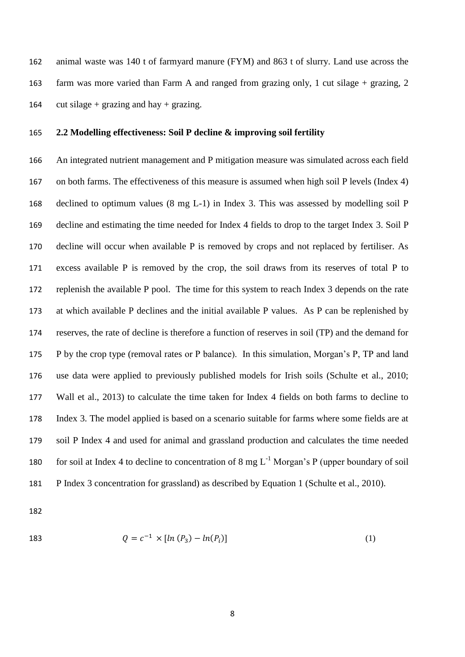animal waste was 140 t of farmyard manure (FYM) and 863 t of slurry. Land use across the farm was more varied than Farm A and ranged from grazing only, 1 cut silage + grazing, 2 164 cut silage + grazing and hay + grazing.

#### **2.2 Modelling effectiveness: Soil P decline & improving soil fertility**

 An integrated nutrient management and P mitigation measure was simulated across each field on both farms. The effectiveness of this measure is assumed when high soil P levels (Index 4) declined to optimum values (8 mg L-1) in Index 3. This was assessed by modelling soil P decline and estimating the time needed for Index 4 fields to drop to the target Index 3. Soil P decline will occur when available P is removed by crops and not replaced by fertiliser. As excess available P is removed by the crop, the soil draws from its reserves of total P to replenish the available P pool. The time for this system to reach Index 3 depends on the rate at which available P declines and the initial available P values. As P can be replenished by reserves, the rate of decline is therefore a function of reserves in soil (TP) and the demand for P by the crop type (removal rates or P balance). In this simulation, Morgan's P, TP and land use data were applied to previously published models for Irish soils (Schulte et al., 2010; Wall et al., 2013) to calculate the time taken for Index 4 fields on both farms to decline to Index 3. The model applied is based on a scenario suitable for farms where some fields are at soil P Index 4 and used for animal and grassland production and calculates the time needed 180 for soil at Index 4 to decline to concentration of 8 mg  $L^{-1}$  Morgan's P (upper boundary of soil P Index 3 concentration for grassland) as described by Equation 1 (Schulte et al., 2010).

183 
$$
Q = c^{-1} \times [ln (P_3) - ln(P_i)] \tag{1}
$$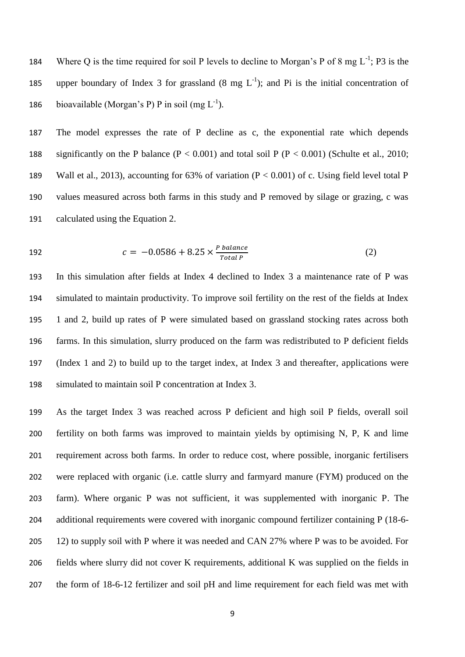184 Where Q is the time required for soil P levels to decline to Morgan's P of 8 mg  $L^{-1}$ ; P3 is the 185 upper boundary of Index 3 for grassland  $(8 \text{ mg } L^{-1})$ ; and Pi is the initial concentration of 186 bioavailable (Morgan's P) P in soil (mg  $L^{-1}$ ).

 The model expresses the rate of P decline as c, the exponential rate which depends 188 significantly on the P balance  $(P < 0.001)$  and total soil P  $(P < 0.001)$  (Schulte et al., 2010; Wall et al., 2013), accounting for 63% of variation (P < 0.001) of c. Using field level total P values measured across both farms in this study and P removed by silage or grazing, c was calculated using the Equation 2.

192 
$$
c = -0.0586 + 8.25 \times \frac{P \text{ balance}}{\text{Total } P}
$$
 (2)

 In this simulation after fields at Index 4 declined to Index 3 a maintenance rate of P was simulated to maintain productivity. To improve soil fertility on the rest of the fields at Index 1 and 2, build up rates of P were simulated based on grassland stocking rates across both farms. In this simulation, slurry produced on the farm was redistributed to P deficient fields (Index 1 and 2) to build up to the target index, at Index 3 and thereafter, applications were simulated to maintain soil P concentration at Index 3.

 As the target Index 3 was reached across P deficient and high soil P fields, overall soil fertility on both farms was improved to maintain yields by optimising N, P, K and lime requirement across both farms. In order to reduce cost, where possible, inorganic fertilisers were replaced with organic (i.e. cattle slurry and farmyard manure (FYM) produced on the farm). Where organic P was not sufficient, it was supplemented with inorganic P. The additional requirements were covered with inorganic compound fertilizer containing P (18-6- 205 12) to supply soil with P where it was needed and CAN 27% where P was to be avoided. For fields where slurry did not cover K requirements, additional K was supplied on the fields in the form of 18-6-12 fertilizer and soil pH and lime requirement for each field was met with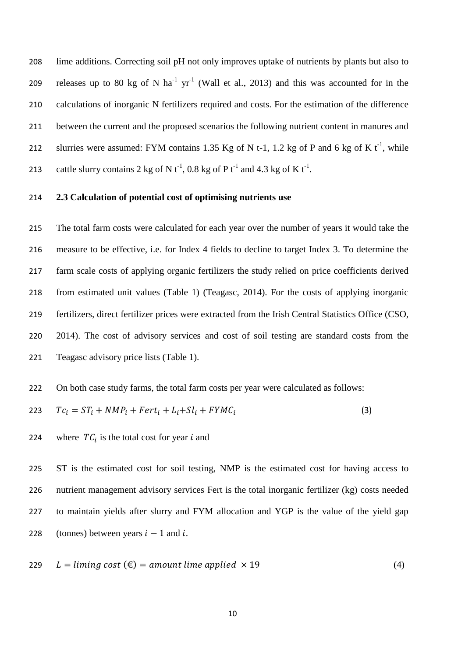lime additions. Correcting soil pH not only improves uptake of nutrients by plants but also to 209 releases up to 80 kg of N ha<sup>-1</sup> yr<sup>-1</sup> (Wall et al., 2013) and this was accounted for in the calculations of inorganic N fertilizers required and costs. For the estimation of the difference between the current and the proposed scenarios the following nutrient content in manures and 212 slurries were assumed: FYM contains 1.35 Kg of N t-1, 1.2 kg of P and 6 kg of K  $t^{-1}$ , while 213 cattle slurry contains 2 kg of N  $t^{-1}$ , 0.8 kg of P  $t^{-1}$  and 4.3 kg of K  $t^{-1}$ .

#### **2.3 Calculation of potential cost of optimising nutrients use**

 The total farm costs were calculated for each year over the number of years it would take the measure to be effective, i.e. for Index 4 fields to decline to target Index 3. To determine the farm scale costs of applying organic fertilizers the study relied on price coefficients derived from estimated unit values (Table 1) (Teagasc, 2014). For the costs of applying inorganic fertilizers, direct fertilizer prices were extracted from the Irish Central Statistics Office (CSO, 2014). The cost of advisory services and cost of soil testing are standard costs from the Teagasc advisory price lists (Table 1).

On both case study farms, the total farm costs per year were calculated as follows:

$$
223 \tTc_i = ST_i + NMP_i + Fert_i + L_i + Sl_i + FYMC_i \t\t(3)
$$

224 where  $TC_i$  is the total cost for year i and

 ST is the estimated cost for soil testing, NMP is the estimated cost for having access to nutrient management advisory services Fert is the total inorganic fertilizer (kg) costs needed to maintain yields after slurry and FYM allocation and YGP is the value of the yield gap 228 (tonnes) between years  $i - 1$  and i.

$$
229 \quad L = \text{liming cost } (\text{€}) = \text{amount line applied } \times 19 \tag{4}
$$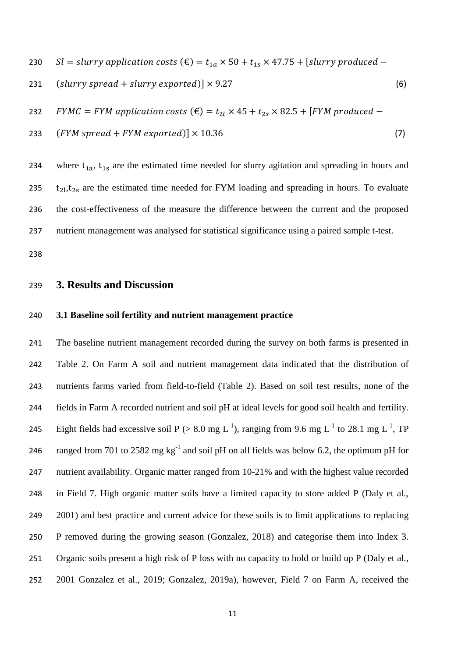- 230 Sl = slurry application costs  $(\epsilon) = t_{1a} \times 50 + t_{1s} \times 47.75 +$  [slurry produced –
- 231  $\left(\text{slurv spread} + \text{slurv exponented}\right) \times 9.27$  (6)
- 232 FYMC = FYM application costs  $(\epsilon) = t_{2l} \times 45 + t_{2s} \times 82.5 +$  [FYM produced –
- 233  $(FYM\, spread + FYM\, expected) \times 10.36$  (7)

234 where  $t_{1a}$ ,  $t_{1s}$  are the estimated time needed for slurry agitation and spreading in hours and 235  $t_{21}, t_{2s}$  are the estimated time needed for FYM loading and spreading in hours. To evaluate the cost-effectiveness of the measure the difference between the current and the proposed nutrient management was analysed for statistical significance using a paired sample t-test.

#### **3. Results and Discussion**

#### **3.1 Baseline soil fertility and nutrient management practice**

 The baseline nutrient management recorded during the survey on both farms is presented in Table 2. On Farm A soil and nutrient management data indicated that the distribution of nutrients farms varied from field-to-field (Table 2). Based on soil test results, none of the fields in Farm A recorded nutrient and soil pH at ideal levels for good soil health and fertility. 245 Eight fields had excessive soil P (> 8.0 mg L<sup>-1</sup>), ranging from 9.6 mg L<sup>-1</sup> to 28.1 mg L<sup>-1</sup>, TP 246 ranged from 701 to 2582 mg  $kg^{-1}$  and soil pH on all fields was below 6.2, the optimum pH for nutrient availability. Organic matter ranged from 10-21% and with the highest value recorded in Field 7. High organic matter soils have a limited capacity to store added P (Daly et al., 249 2001) and best practice and current advice for these soils is to limit applications to replacing P removed during the growing season (Gonzalez, 2018) and categorise them into Index 3. Organic soils present a high risk of P loss with no capacity to hold or build up P (Daly et al., 2001 Gonzalez et al., 2019; Gonzalez, 2019a), however, Field 7 on Farm A, received the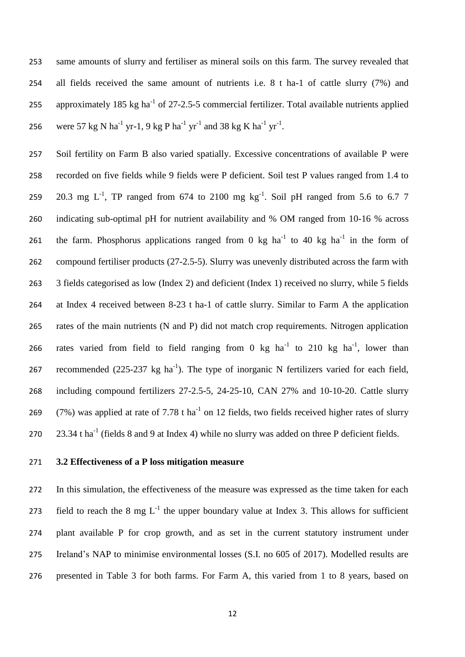same amounts of slurry and fertiliser as mineral soils on this farm. The survey revealed that all fields received the same amount of nutrients i.e. 8 t ha-1 of cattle slurry (7%) and 255 approximately 185 kg ha<sup>-1</sup> of 27-2.5-5 commercial fertilizer. Total available nutrients applied 256 were 57 kg N ha<sup>-1</sup> yr-1, 9 kg P ha<sup>-1</sup> yr<sup>-1</sup> and 38 kg K ha<sup>-1</sup> yr<sup>-1</sup>.

 Soil fertility on Farm B also varied spatially. Excessive concentrations of available P were recorded on five fields while 9 fields were P deficient. Soil test P values ranged from 1.4 to 259 20.3 mg  $L^{-1}$ , TP ranged from 674 to 2100 mg  $kg^{-1}$ . Soil pH ranged from 5.6 to 6.7 7 indicating sub-optimal pH for nutrient availability and % OM ranged from 10-16 % across 261 the farm. Phosphorus applications ranged from 0 kg ha<sup>-1</sup> to 40 kg ha<sup>-1</sup> in the form of compound fertiliser products (27-2.5-5). Slurry was unevenly distributed across the farm with 3 fields categorised as low (Index 2) and deficient (Index 1) received no slurry, while 5 fields at Index 4 received between 8-23 t ha-1 of cattle slurry. Similar to Farm A the application rates of the main nutrients (N and P) did not match crop requirements. Nitrogen application 266 rates varied from field to field ranging from 0 kg  $ha^{-1}$  to 210 kg  $ha^{-1}$ , lower than 267 recommended  $(225-237 \text{ kg ha}^{-1})$ . The type of inorganic N fertilizers varied for each field, including compound fertilizers 27-2.5-5, 24-25-10, CAN 27% and 10-10-20. Cattle slurry 269 (7%) was applied at rate of 7.78 t ha<sup>-1</sup> on 12 fields, two fields received higher rates of slurry  $23.34$  t ha<sup>-1</sup> (fields 8 and 9 at Index 4) while no slurry was added on three P deficient fields.

## **3.2 Effectiveness of a P loss mitigation measure**

 In this simulation, the effectiveness of the measure was expressed as the time taken for each 273 field to reach the 8 mg  $L^{-1}$  the upper boundary value at Index 3. This allows for sufficient plant available P for crop growth, and as set in the current statutory instrument under Ireland's NAP to minimise environmental losses (S.I. no 605 of 2017). Modelled results are presented in Table 3 for both farms. For Farm A, this varied from 1 to 8 years, based on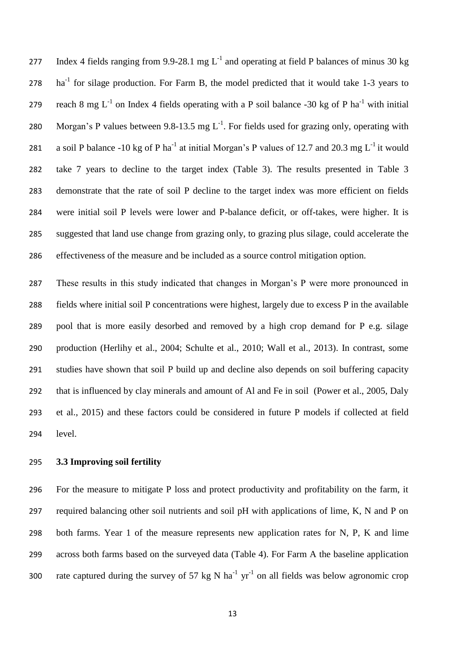277 Index 4 fields ranging from 9.9-28.1 mg  $L^{-1}$  and operating at field P balances of minus 30 kg ha<sup>-1</sup> for silage production. For Farm B, the model predicted that it would take 1-3 years to 279 reach 8 mg  $L^{-1}$  on Index 4 fields operating with a P soil balance -30 kg of P ha<sup>-1</sup> with initial 280 Morgan's P values between 9.8-13.5 mg  $L^{-1}$ . For fields used for grazing only, operating with 281 a soil P balance -10 kg of P ha<sup>-1</sup> at initial Morgan's P values of 12.7 and 20.3 mg  $L^{-1}$  it would take 7 years to decline to the target index (Table 3). The results presented in Table 3 demonstrate that the rate of soil P decline to the target index was more efficient on fields were initial soil P levels were lower and P-balance deficit, or off-takes, were higher. It is suggested that land use change from grazing only, to grazing plus silage, could accelerate the effectiveness of the measure and be included as a source control mitigation option.

 These results in this study indicated that changes in Morgan's P were more pronounced in fields where initial soil P concentrations were highest, largely due to excess P in the available pool that is more easily desorbed and removed by a high crop demand for P e.g. silage production (Herlihy et al., 2004; Schulte et al., 2010; Wall et al., 2013). In contrast, some studies have shown that soil P build up and decline also depends on soil buffering capacity that is influenced by clay minerals and amount of Al and Fe in soil (Power et al., 2005, Daly et al., 2015) and these factors could be considered in future P models if collected at field level.

#### **3.3 Improving soil fertility**

 For the measure to mitigate P loss and protect productivity and profitability on the farm, it required balancing other soil nutrients and soil pH with applications of lime, K, N and P on both farms. Year 1 of the measure represents new application rates for N, P, K and lime across both farms based on the surveyed data (Table 4). For Farm A the baseline application 300 rate captured during the survey of 57 kg N ha<sup>-1</sup> yr<sup>-1</sup> on all fields was below agronomic crop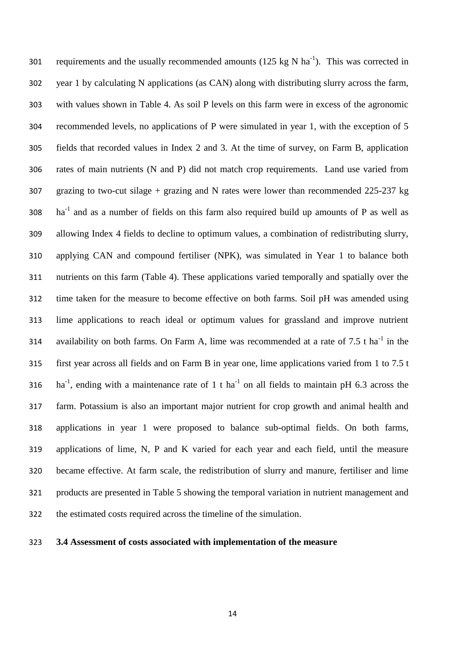301 requirements and the usually recommended amounts (125 kg N ha<sup>-1</sup>). This was corrected in year 1 by calculating N applications (as CAN) along with distributing slurry across the farm, with values shown in Table 4. As soil P levels on this farm were in excess of the agronomic recommended levels, no applications of P were simulated in year 1, with the exception of 5 fields that recorded values in Index 2 and 3. At the time of survey, on Farm B, application rates of main nutrients (N and P) did not match crop requirements. Land use varied from grazing to two-cut silage + grazing and N rates were lower than recommended 225-237 kg ha<sup>-1</sup> and as a number of fields on this farm also required build up amounts of P as well as allowing Index 4 fields to decline to optimum values, a combination of redistributing slurry, applying CAN and compound fertiliser (NPK), was simulated in Year 1 to balance both nutrients on this farm (Table 4). These applications varied temporally and spatially over the time taken for the measure to become effective on both farms. Soil pH was amended using lime applications to reach ideal or optimum values for grassland and improve nutrient 314 availability on both farms. On Farm A, lime was recommended at a rate of 7.5 t ha<sup>-1</sup> in the first year across all fields and on Farm B in year one, lime applications varied from 1 to 7.5 t 316 ha<sup>-1</sup>, ending with a maintenance rate of 1 t ha<sup>-1</sup> on all fields to maintain pH 6.3 across the farm. Potassium is also an important major nutrient for crop growth and animal health and applications in year 1 were proposed to balance sub-optimal fields. On both farms, applications of lime, N, P and K varied for each year and each field, until the measure became effective. At farm scale, the redistribution of slurry and manure, fertiliser and lime products are presented in Table 5 showing the temporal variation in nutrient management and the estimated costs required across the timeline of the simulation.

## **3.4 Assessment of costs associated with implementation of the measure**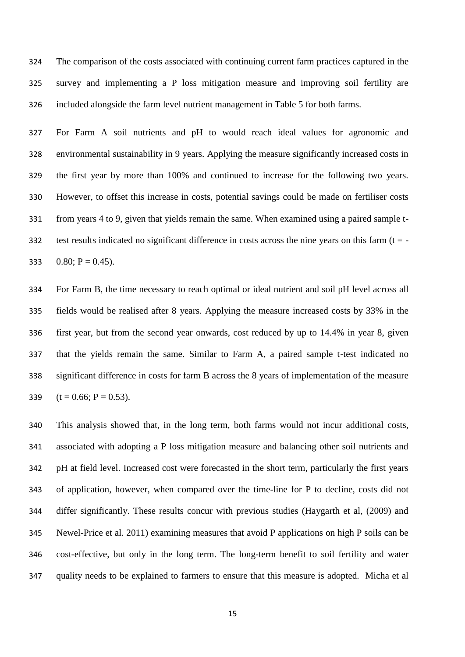The comparison of the costs associated with continuing current farm practices captured in the survey and implementing a P loss mitigation measure and improving soil fertility are included alongside the farm level nutrient management in Table 5 for both farms.

 For Farm A soil nutrients and pH to would reach ideal values for agronomic and environmental sustainability in 9 years. Applying the measure significantly increased costs in the first year by more than 100% and continued to increase for the following two years. However, to offset this increase in costs, potential savings could be made on fertiliser costs from years 4 to 9, given that yields remain the same. When examined using a paired sample t-332 test results indicated no significant difference in costs across the nine years on this farm  $(t = -1)$ 333 0.80;  $P = 0.45$ ).

 For Farm B, the time necessary to reach optimal or ideal nutrient and soil pH level across all fields would be realised after 8 years. Applying the measure increased costs by 33% in the first year, but from the second year onwards, cost reduced by up to 14.4% in year 8, given that the yields remain the same. Similar to Farm A, a paired sample t-test indicated no significant difference in costs for farm B across the 8 years of implementation of the measure  $(t = 0.66; P = 0.53)$ .

 This analysis showed that, in the long term, both farms would not incur additional costs, associated with adopting a P loss mitigation measure and balancing other soil nutrients and pH at field level. Increased cost were forecasted in the short term, particularly the first years of application, however, when compared over the time-line for P to decline, costs did not differ significantly. These results concur with previous studies (Haygarth et al, (2009) and Newel-Price et al. 2011) examining measures that avoid P applications on high P soils can be cost-effective, but only in the long term. The long-term benefit to soil fertility and water quality needs to be explained to farmers to ensure that this measure is adopted. Micha et al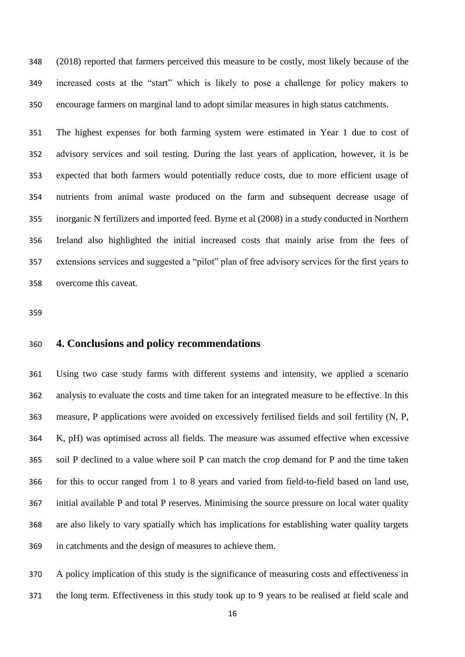(2018) reported that farmers perceived this measure to be costly, most likely because of the increased costs at the "start" which is likely to pose a challenge for policy makers to encourage farmers on marginal land to adopt similar measures in high status catchments.

 The highest expenses for both farming system were estimated in Year 1 due to cost of advisory services and soil testing. During the last years of application, however, it is be expected that both farmers would potentially reduce costs, due to more efficient usage of nutrients from animal waste produced on the farm and subsequent decrease usage of inorganic N fertilizers and imported feed. Byrne et al (2008) in a study conducted in Northern Ireland also highlighted the initial increased costs that mainly arise from the fees of extensions services and suggested a "pilot" plan of free advisory services for the first years to overcome this caveat.

## **4. Conclusions and policy recommendations**

 Using two case study farms with different systems and intensity, we applied a scenario analysis to evaluate the costs and time taken for an integrated measure to be effective. In this measure, P applications were avoided on excessively fertilised fields and soil fertility (N, P, K, pH) was optimised across all fields. The measure was assumed effective when excessive soil P declined to a value where soil P can match the crop demand for P and the time taken for this to occur ranged from 1 to 8 years and varied from field-to-field based on land use, initial available P and total P reserves. Minimising the source pressure on local water quality are also likely to vary spatially which has implications for establishing water quality targets in catchments and the design of measures to achieve them.

 A policy implication of this study is the significance of measuring costs and effectiveness in the long term. Effectiveness in this study took up to 9 years to be realised at field scale and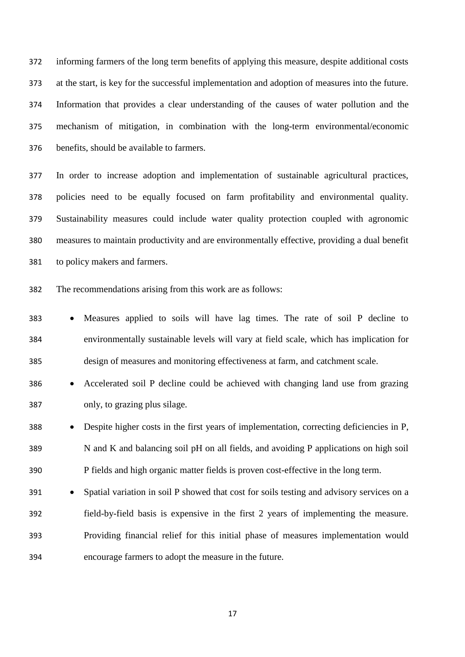informing farmers of the long term benefits of applying this measure, despite additional costs at the start, is key for the successful implementation and adoption of measures into the future. Information that provides a clear understanding of the causes of water pollution and the mechanism of mitigation, in combination with the long-term environmental/economic benefits, should be available to farmers.

 In order to increase adoption and implementation of sustainable agricultural practices, policies need to be equally focused on farm profitability and environmental quality. Sustainability measures could include water quality protection coupled with agronomic measures to maintain productivity and are environmentally effective, providing a dual benefit to policy makers and farmers.

The recommendations arising from this work are as follows:

 Measures applied to soils will have lag times. The rate of soil P decline to environmentally sustainable levels will vary at field scale, which has implication for design of measures and monitoring effectiveness at farm, and catchment scale.

# Accelerated soil P decline could be achieved with changing land use from grazing only, to grazing plus silage.

 Despite higher costs in the first years of implementation, correcting deficiencies in P, N and K and balancing soil pH on all fields, and avoiding P applications on high soil P fields and high organic matter fields is proven cost-effective in the long term.

391 • Spatial variation in soil P showed that cost for soils testing and advisory services on a field-by-field basis is expensive in the first 2 years of implementing the measure. Providing financial relief for this initial phase of measures implementation would encourage farmers to adopt the measure in the future.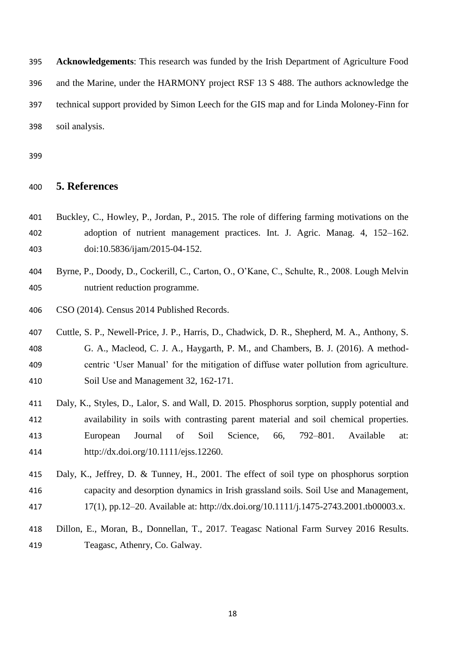**Acknowledgements**: This research was funded by the Irish Department of Agriculture Food and the Marine, under the HARMONY project RSF 13 S 488. The authors acknowledge the technical support provided by Simon Leech for the GIS map and for Linda Moloney-Finn for soil analysis.

## **5. References**

- Buckley, C., Howley, P., Jordan, P., 2015. The role of differing farming motivations on the adoption of nutrient management practices. Int. J. Agric. Manag. 4, 152–162. doi:10.5836/ijam/2015-04-152.
- Byrne, P., Doody, D., Cockerill, C., Carton, O., O'Kane, C., Schulte, R., 2008. Lough Melvin nutrient reduction programme.
- CSO (2014). Census 2014 Published Records.
- Cuttle, S. P., Newell-Price, J. P., Harris, D., Chadwick, D. R., Shepherd, M. A., Anthony, S. G. A., Macleod, C. J. A., Haygarth, P. M., and Chambers, B. J. (2016). A method- centric 'User Manual' for the mitigation of diffuse water pollution from agriculture. Soil Use and Management 32, 162-171.
- Daly, K., Styles, D., Lalor, S. and Wall, D. 2015. Phosphorus sorption, supply potential and availability in soils with contrasting parent material and soil chemical properties. European Journal of Soil Science, 66, 792–801. Available at: http://dx.doi.org/10.1111/ejss.12260.
- Daly, K., Jeffrey, D. & Tunney, H., 2001. The effect of soil type on phosphorus sorption capacity and desorption dynamics in Irish grassland soils. Soil Use and Management, 17(1), pp.12–20. Available at: http://dx.doi.org/10.1111/j.1475-2743.2001.tb00003.x.
- Dillon, E., Moran, B., Donnellan, T., 2017. Teagasc National Farm Survey 2016 Results. Teagasc, Athenry, Co. Galway.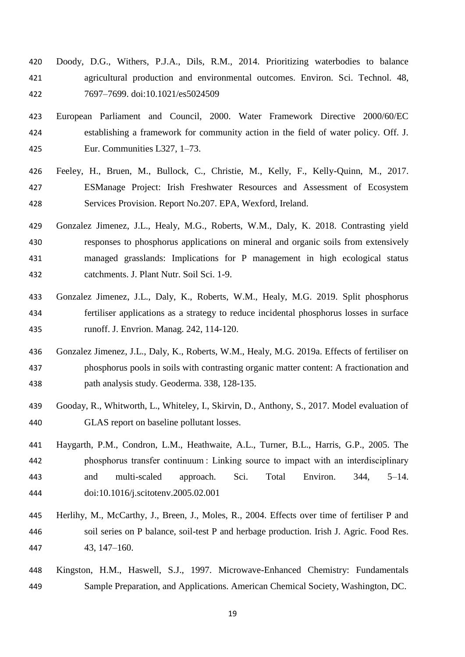- Doody, D.G., Withers, P.J.A., Dils, R.M., 2014. Prioritizing waterbodies to balance agricultural production and environmental outcomes. Environ. Sci. Technol. 48, 7697–7699. doi:10.1021/es5024509
- European Parliament and Council, 2000. Water Framework Directive 2000/60/EC establishing a framework for community action in the field of water policy. Off. J. Eur. Communities L327, 1–73.
- Feeley, H., Bruen, M., Bullock, C., Christie, M., Kelly, F., Kelly-Quinn, M., 2017. ESManage Project: Irish Freshwater Resources and Assessment of Ecosystem Services Provision. Report No.207. EPA, Wexford, Ireland.
- Gonzalez Jimenez, J.L., Healy, M.G., Roberts, W.M., Daly, K. 2018. Contrasting yield responses to phosphorus applications on mineral and organic soils from extensively managed grasslands: Implications for P management in high ecological status catchments. J. Plant Nutr. Soil Sci. 1-9.
- Gonzalez Jimenez, J.L., Daly, K., Roberts, W.M., Healy, M.G. 2019. Split phosphorus fertiliser applications as a strategy to reduce incidental phosphorus losses in surface runoff. J. Envrion. Manag. 242, 114-120.
- Gonzalez Jimenez, J.L., Daly, K., Roberts, W.M., Healy, M.G. 2019a. Effects of fertiliser on phosphorus pools in soils with contrasting organic matter content: A fractionation and path analysis study. Geoderma. 338, 128-135.
- Gooday, R., Whitworth, L., Whiteley, I., Skirvin, D., Anthony, S., 2017. Model evaluation of GLAS report on baseline pollutant losses.
- Haygarth, P.M., Condron, L.M., Heathwaite, A.L., Turner, B.L., Harris, G.P., 2005. The phosphorus transfer continuum : Linking source to impact with an interdisciplinary and multi-scaled approach. Sci. Total Environ. 344, 5–14. doi:10.1016/j.scitotenv.2005.02.001
- Herlihy, M., McCarthy, J., Breen, J., Moles, R., 2004. Effects over time of fertiliser P and soil series on P balance, soil-test P and herbage production. Irish J. Agric. Food Res. 43, 147–160.
- Kingston, H.M., Haswell, S.J., 1997. Microwave-Enhanced Chemistry: Fundamentals Sample Preparation, and Applications. American Chemical Society, Washington, DC.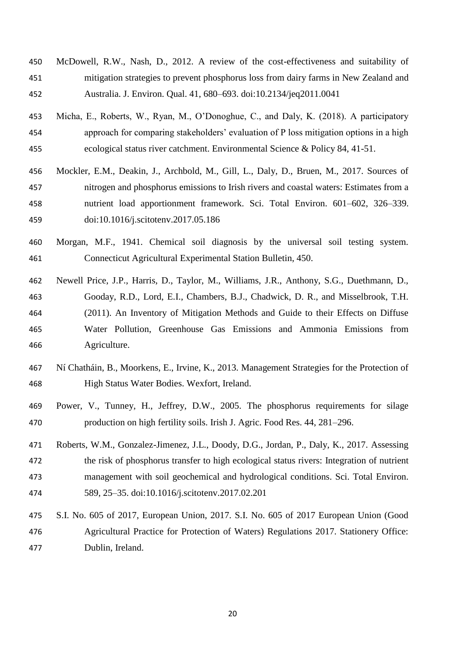- McDowell, R.W., Nash, D., 2012. A review of the cost-effectiveness and suitability of mitigation strategies to prevent phosphorus loss from dairy farms in New Zealand and Australia. J. Environ. Qual. 41, 680–693. doi:10.2134/jeq2011.0041
- Micha, E., Roberts, W., Ryan, M., O'Donoghue, C., and Daly, K. (2018). A participatory approach for comparing stakeholders' evaluation of P loss mitigation options in a high ecological status river catchment. Environmental Science & Policy 84, 41-51.
- Mockler, E.M., Deakin, J., Archbold, M., Gill, L., Daly, D., Bruen, M., 2017. Sources of nitrogen and phosphorus emissions to Irish rivers and coastal waters: Estimates from a nutrient load apportionment framework. Sci. Total Environ. 601–602, 326–339. doi:10.1016/j.scitotenv.2017.05.186
- Morgan, M.F., 1941. Chemical soil diagnosis by the universal soil testing system. Connecticut Agricultural Experimental Station Bulletin, 450.
- Newell Price, J.P., Harris, D., Taylor, M., Williams, J.R., Anthony, S.G., Duethmann, D., Gooday, R.D., Lord, E.I., Chambers, B.J., Chadwick, D. R., and Misselbrook, T.H. (2011). An Inventory of Mitigation Methods and Guide to their Effects on Diffuse Water Pollution, Greenhouse Gas Emissions and Ammonia Emissions from Agriculture.
- Ní Chatháin, B., Moorkens, E., Irvine, K., 2013. Management Strategies for the Protection of High Status Water Bodies. Wexfort, Ireland.
- Power, V., Tunney, H., Jeffrey, D.W., 2005. The phosphorus requirements for silage production on high fertility soils. Irish J. Agric. Food Res. 44, 281–296.
- Roberts, W.M., Gonzalez-Jimenez, J.L., Doody, D.G., Jordan, P., Daly, K., 2017. Assessing the risk of phosphorus transfer to high ecological status rivers: Integration of nutrient management with soil geochemical and hydrological conditions. Sci. Total Environ. 589, 25–35. doi:10.1016/j.scitotenv.2017.02.201
- S.I. No. 605 of 2017, European Union, 2017. S.I. No. 605 of 2017 European Union (Good Agricultural Practice for Protection of Waters) Regulations 2017. Stationery Office: Dublin, Ireland.